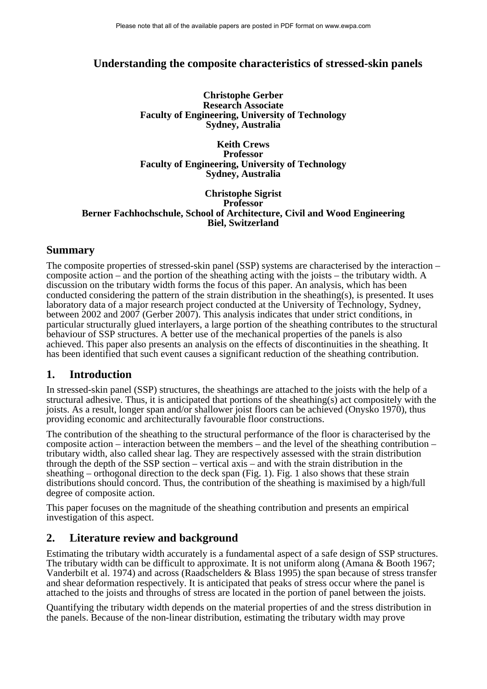# **Understanding the composite characteristics of stressed-skin panels**

**Christophe Gerber Research Associate Faculty of Engineering, University of Technology Sydney, Australia** 

**Keith Crews Professor Faculty of Engineering, University of Technology Sydney, Australia** 

#### **Christophe Sigrist Professor Berner Fachhochschule, School of Architecture, Civil and Wood Engineering Biel, Switzerland**

## **Summary**

The composite properties of stressed-skin panel (SSP) systems are characterised by the interaction – composite action – and the portion of the sheathing acting with the joists – the tributary width. A discussion on the tributary width forms the focus of this paper. An analysis, which has been conducted considering the pattern of the strain distribution in the sheathing(s), is presented. It uses laboratory data of a major research project conducted at the University of Technology, Sydney, between 2002 and 2007 (Gerber 2007). This analysis indicates that under strict conditions, in particular structurally glued interlayers, a large portion of the sheathing contributes to the structural behaviour of SSP structures. A better use of the mechanical properties of the panels is also achieved. This paper also presents an analysis on the effects of discontinuities in the sheathing. It has been identified that such event causes a significant reduction of the sheathing contribution.

### **1. Introduction**

In stressed-skin panel (SSP) structures, the sheathings are attached to the joists with the help of a structural adhesive. Thus, it is anticipated that portions of the sheathing(s) act compositely with the joists. As a result, longer span and/or shallower joist floors can be achieved (Onysko 1970), thus providing economic and architecturally favourable floor constructions.

The contribution of the sheathing to the structural performance of the floor is characterised by the composite action – interaction between the members – and the level of the sheathing contribution – tributary width, also called shear lag. They are respectively assessed with the strain distribution through the depth of the SSP section – vertical axis – and with the strain distribution in the sheathing – orthogonal direction to the deck span [\(Fig. 1](#page-1-0)). [Fig. 1](#page-1-0) also shows that these strain distributions should concord. Thus, the contribution of the sheathing is maximised by a high/full degree of composite action.

This paper focuses on the magnitude of the sheathing contribution and presents an empirical investigation of this aspect.

# **2. Literature review and background**

Estimating the tributary width accurately is a fundamental aspect of a safe design of SSP structures. The tributary width can be difficult to approximate. It is not uniform along (Amana & Booth 1967; Vanderbilt et al. 1974) and across (Raadschelders & Blass 1995) the span because of stress transfer and shear deformation respectively. It is anticipated that peaks of stress occur where the panel is attached to the joists and throughs of stress are located in the portion of panel between the joists.

Quantifying the tributary width depends on the material properties of and the stress distribution in the panels. Because of the non-linear distribution, estimating the tributary width may prove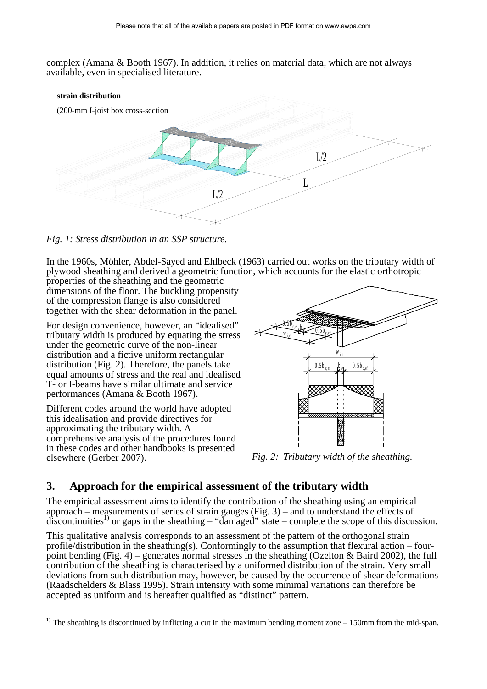complex (Amana & Booth 1967). In addition, it relies on material data, which are not always available, even in specialised literature.



<span id="page-1-0"></span>*Fig. 1: Stress distribution in an SSP structure.* 

In the 1960s, Möhler, Abdel-Sayed and Ehlbeck (1963) carried out works on the tributary width of plywood sheathing and derived a geometric function, which accounts for the elastic orthotropic

properties of the sheathing and the geometric dimensions of the floor. The buckling propensity of the compression flange is also considered together with the shear deformation in the panel.

For design convenience, however, an "idealised" tributary width is produced by equating the stress under the geometric curve of the non-linear distribution and a fictive uniform rectangular distribution [\(Fig. 2](#page-1-1)). Therefore, the panels take equal amounts of stress and the real and idealised T- or I-beams have similar ultimate and service performances (Amana & Booth 1967).

Different codes around the world have adopted this idealisation and provide directives for approximating the tributary width. A comprehensive analysis of the procedures found in these codes and other handbooks is presented elsewhere (Gerber 2007). *Fig. 2: Tributary width of the sheathing.* 



# <span id="page-1-1"></span>**3. Approach for the empirical assessment of the tributary width**

The empirical assessment aims to identify the contribution of the sheathing using an empirical approach – measurements of series of strain gauges ([Fig. 3\)](#page-2-0) – and to understand the effects of  $discontinuities<sup>1</sup>$  or gaps in the sheathing – "damaged" state – complete the scope of this discussion.

This qualitative analysis corresponds to an assessment of the pattern of the orthogonal strain profile/distribution in the sheathing(s). Conformingly to the assumption that flexural action – four-point bending [\(Fig. 4](#page-2-1)) – generates normal stresses in the sheathing (Ozelton & Baird 2002), the full contribution of the sheathing is characterised by a uniformed distribution of the strain. Very small deviations from such distribution may, however, be caused by the occurrence of shear deformations (Raadschelders & Blass 1995). Strain intensity with some minimal variations can therefore be accepted as uniform and is hereafter qualified as "distinct" pattern.

<sup>&</sup>lt;sup>1)</sup> The sheathing is discontinued by inflicting a cut in the maximum bending moment zone  $-150$ mm from the mid-span.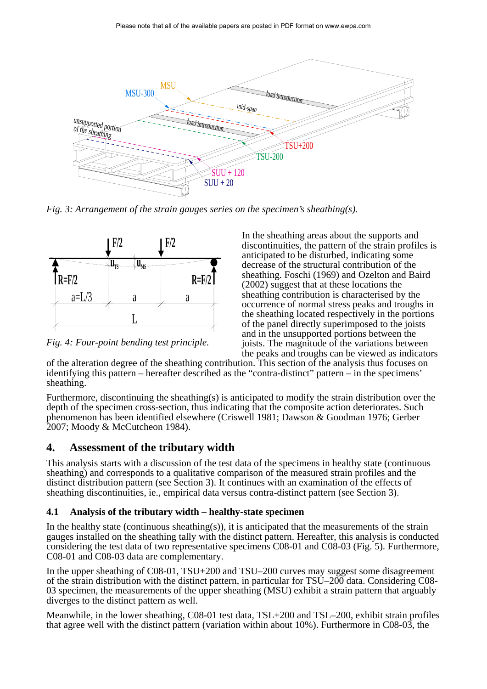

<span id="page-2-0"></span>*Fig. 3: Arrangement of the strain gauges series on the specimen's sheathing(s).* 



<span id="page-2-1"></span>*Fig. 4: Four-point bending test principle.* 

In the sheathing areas about the supports and discontinuities, the pattern of the strain profiles is anticipated to be disturbed, indicating some decrease of the structural contribution of the sheathing. Foschi (1969) and Ozelton and Baird (2002) suggest that at these locations the sheathing contribution is characterised by the occurrence of normal stress peaks and troughs in the sheathing located respectively in the portions of the panel directly superimposed to the joists and in the unsupported portions between the joists. The magnitude of the variations between the peaks and troughs can be viewed as indicators

of the alteration degree of the sheathing contribution. This section of the analysis thus focuses on identifying this pattern – hereafter described as the "contra-distinct" pattern – in the specimens' sheathing.

Furthermore, discontinuing the sheathing(s) is anticipated to modify the strain distribution over the depth of the specimen cross-section, thus indicating that the composite action deteriorates. Such phenomenon has been identified elsewhere (Criswell 1981; Dawson & Goodman 1976; Gerber 2007; Moody & McCutcheon 1984).

### **4. Assessment of the tributary width**

This analysis starts with a discussion of the test data of the specimens in healthy state (continuous sheathing) and corresponds to a qualitative comparison of the measured strain profiles and the distinct distribution pattern (see Section 3). It continues with an examination of the effects of sheathing discontinuities, ie., empirical data versus contra-distinct pattern (see Section 3).

#### **4.1 Analysis of the tributary width – healthy-state specimen**

In the healthy state (continuous sheathing(s)), it is anticipated that the measurements of the strain gauges installed on the sheathing tally with the distinct pattern. Hereafter, this analysis is conducted considering the test data of two representative specimens C08-01 and C08-03 [\(Fig. 5](#page-3-0)). Furthermore, C08-01 and C08-03 data are complementary.

In the upper sheathing of C08-01, TSU+200 and TSU–200 curves may suggest some disagreement of the strain distribution with the distinct pattern, in particular for TSU–200 data. Considering C08- 03 specimen, the measurements of the upper sheathing (MSU) exhibit a strain pattern that arguably diverges to the distinct pattern as well.

Meanwhile, in the lower sheathing, C08-01 test data, TSL+200 and TSL–200, exhibit strain profiles that agree well with the distinct pattern (variation within about 10%). Furthermore in C08-03, the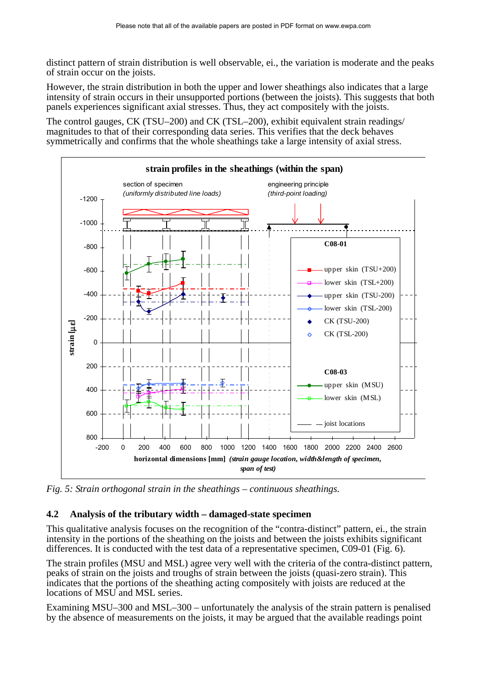distinct pattern of strain distribution is well observable, ei., the variation is moderate and the peaks of strain occur on the joists.

However, the strain distribution in both the upper and lower sheathings also indicates that a large intensity of strain occurs in their unsupported portions (between the joists). This suggests that both panels experiences significant axial stresses. Thus, they act compositely with the joists.

The control gauges, CK (TSU–200) and CK (TSL–200), exhibit equivalent strain readings/ magnitudes to that of their corresponding data series. This verifies that the deck behaves symmetrically and confirms that the whole sheathings take a large intensity of axial stress.



<span id="page-3-0"></span>*Fig. 5: Strain orthogonal strain in the sheathings – continuous sheathings.* 

### **4.2 Analysis of the tributary width – damaged-state specimen**

This qualitative analysis focuses on the recognition of the "contra-distinct" pattern, ei., the strain intensity in the portions of the sheathing on the joists and between the joists exhibits significant differences. It is conducted with the test data of a representative specimen, C09-01 ([Fig. 6\)](#page-4-0).

The strain profiles (MSU and MSL) agree very well with the criteria of the contra-distinct pattern, peaks of strain on the joists and troughs of strain between the joists (quasi-zero strain). This indicates that the portions of the sheathing acting compositely with joists are reduced at the locations of MSU and MSL series.

Examining MSU–300 and MSL–300 – unfortunately the analysis of the strain pattern is penalised by the absence of measurements on the joists, it may be argued that the available readings point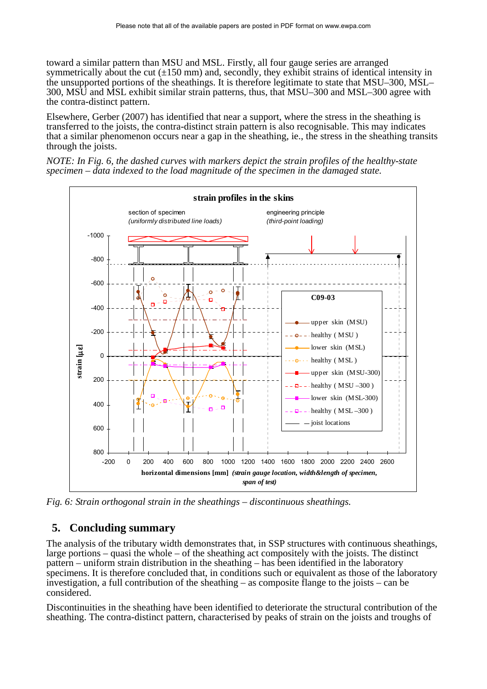toward a similar pattern than MSU and MSL. Firstly, all four gauge series are arranged symmetrically about the cut  $(\pm 150 \text{ mm})$  and, secondly, they exhibit strains of identical intensity in the unsupported portions of the sheathings. It is therefore legitimate to state that MSU–300, MSL– 300, MSU and MSL exhibit similar strain patterns, thus, that MSU–300 and MSL–300 agree with the contra-distinct pattern.

Elsewhere, Gerber (2007) has identified that near a support, where the stress in the sheathing is transferred to the joists, the contra-distinct strain pattern is also recognisable. This may indicates that a similar phenomenon occurs near a gap in the sheathing, ie., the stress in the sheathing transits through the joists.

*NOTE: In [Fig. 6](#page-4-0), the dashed curves with markers depict the strain profiles of the healthy-state specimen – data indexed to the load magnitude of the specimen in the damaged state.* 



<span id="page-4-0"></span>*Fig. 6: Strain orthogonal strain in the sheathings – discontinuous sheathings.* 

### **5. Concluding summary**

The analysis of the tributary width demonstrates that, in SSP structures with continuous sheathings, large portions – quasi the whole – of the sheathing act compositely with the joists. The distinct pattern – uniform strain distribution in the sheathing – has been identified in the laboratory specimens. It is therefore concluded that, in conditions such or equivalent as those of the laboratory investigation, a full contribution of the sheathing  $-$  as composite flange to the joists  $-$  can be considered.

Discontinuities in the sheathing have been identified to deteriorate the structural contribution of the sheathing. The contra-distinct pattern, characterised by peaks of strain on the joists and troughs of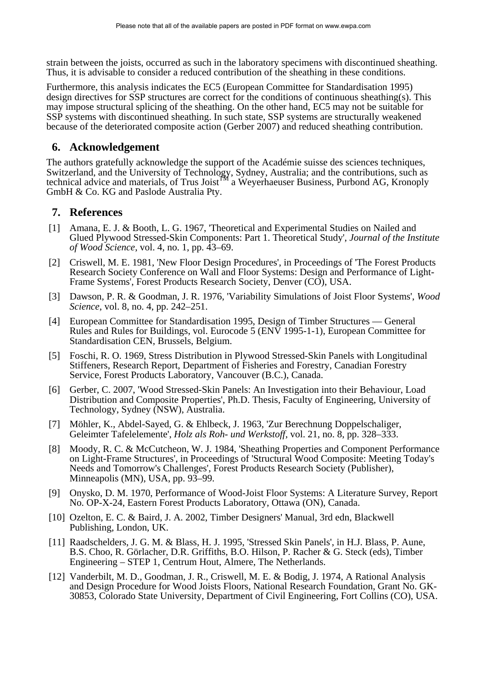strain between the joists, occurred as such in the laboratory specimens with discontinued sheathing. Thus, it is advisable to consider a reduced contribution of the sheathing in these conditions.

Furthermore, this analysis indicates the EC5 (European Committee for Standardisation 1995) design directives for SSP structures are correct for the conditions of continuous sheathing(s). This may impose structural splicing of the sheathing. On the other hand, EC5 may not be suitable for SSP systems with discontinued sheathing. In such state, SSP systems are structurally weakened because of the deteriorated composite action (Gerber 2007) and reduced sheathing contribution.

### **6. Acknowledgement**

The authors gratefully acknowledge the support of the Académie suisse des sciences techniques, Switzerland, and the University of Technology, Sydney, Australia; and the contributions, such as technical advice and materials, of Trus Joist<sup>TM</sup> a Weyerhaeuser Business, Purbond AG, Kronoply GmbH & Co. KG and Paslode Australia Pty.

## **7. References**

- [1] Amana, E. J. & Booth, L. G. 1967, 'Theoretical and Experimental Studies on Nailed and Glued Plywood Stressed-Skin Components: Part 1. Theoretical Study', *Journal of the Institute of Wood Science*, vol. 4, no. 1, pp. 43–69.
- [2] Criswell, M. E. 1981, 'New Floor Design Procedures', in Proceedings of 'The Forest Products Research Society Conference on Wall and Floor Systems: Design and Performance of Light-Frame Systems', Forest Products Research Society, Denver (CO), USA.
- [3] Dawson, P. R. & Goodman, J. R. 1976, 'Variability Simulations of Joist Floor Systems', *Wood Science*, vol. 8, no. 4, pp. 242–251.
- [4] European Committee for Standardisation 1995, Design of Timber Structures General Rules and Rules for Buildings, vol. Eurocode 5 (ENV 1995-1-1), European Committee for Standardisation CEN, Brussels, Belgium.
- [5] Foschi, R. O. 1969, Stress Distribution in Plywood Stressed-Skin Panels with Longitudinal Stiffeners, Research Report, Department of Fisheries and Forestry, Canadian Forestry Service, Forest Products Laboratory, Vancouver (B.C.), Canada.
- [6] Gerber, C. 2007, 'Wood Stressed-Skin Panels: An Investigation into their Behaviour, Load Distribution and Composite Properties', Ph.D. Thesis, Faculty of Engineering, University of Technology, Sydney (NSW), Australia.
- [7] Möhler, K., Abdel-Sayed, G. & Ehlbeck, J. 1963, 'Zur Berechnung Doppelschaliger, Geleimter Tafelelemente', *Holz als Roh- und Werkstoff*, vol. 21, no. 8, pp. 328–333.
- [8] Moody, R. C. & McCutcheon, W. J. 1984, 'Sheathing Properties and Component Performance on Light-Frame Structures', in Proceedings of 'Structural Wood Composite: Meeting Today's Needs and Tomorrow's Challenges', Forest Products Research Society (Publisher), Minneapolis (MN), USA, pp. 93–99.
- [9] Onysko, D. M. 1970, Performance of Wood-Joist Floor Systems: A Literature Survey, Report No. OP-X-24, Eastern Forest Products Laboratory, Ottawa (ON), Canada.
- [10] Ozelton, E. C. & Baird, J. A. 2002, Timber Designers' Manual, 3rd edn, Blackwell Publishing, London, UK.
- [11] Raadschelders, J. G. M. & Blass, H. J. 1995, 'Stressed Skin Panels', in H.J. Blass, P. Aune, B.S. Choo, R. Görlacher, D.R. Griffiths, B.O. Hilson, P. Racher & G. Steck (eds), Timber Engineering – STEP 1, Centrum Hout, Almere, The Netherlands.
- [12] Vanderbilt, M. D., Goodman, J. R., Criswell, M. E. & Bodig, J. 1974, A Rational Analysis and Design Procedure for Wood Joists Floors, National Research Foundation, Grant No. GK-30853, Colorado State University, Department of Civil Engineering, Fort Collins (CO), USA.